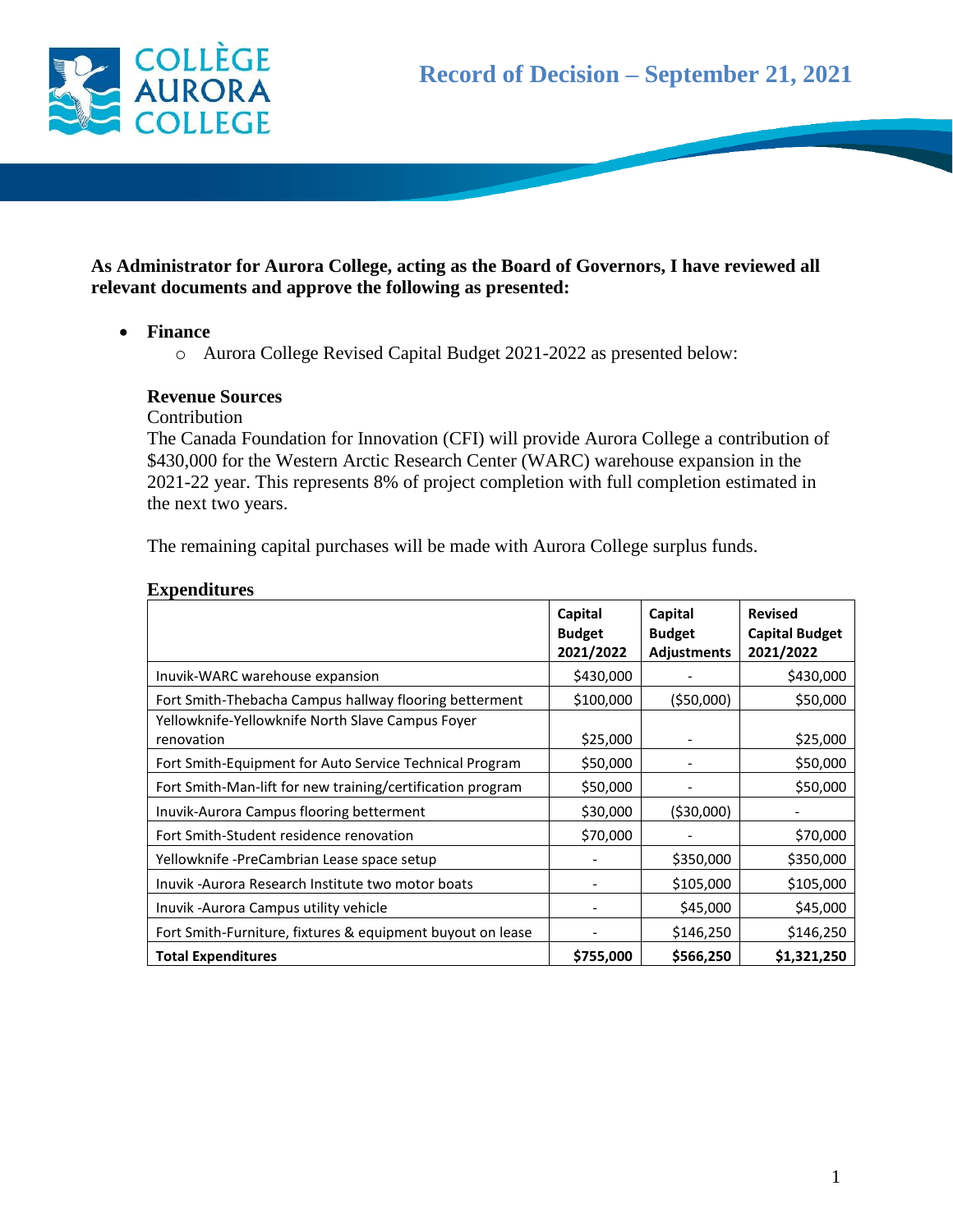

# **As Administrator for Aurora College, acting as the Board of Governors, I have reviewed all relevant documents and approve the following as presented:**

### **Finance**

o Aurora College Revised Capital Budget 2021-2022 as presented below:

#### **Revenue Sources**

Contribution

The Canada Foundation for Innovation (CFI) will provide Aurora College a contribution of \$430,000 for the Western Arctic Research Center (WARC) warehouse expansion in the 2021-22 year. This represents 8% of project completion with full completion estimated in the next two years.

The remaining capital purchases will be made with Aurora College surplus funds.

#### **Expenditures**

|                                                                | Capital<br><b>Budget</b><br>2021/2022 | Capital<br><b>Budget</b><br><b>Adjustments</b> | <b>Revised</b><br><b>Capital Budget</b><br>2021/2022 |
|----------------------------------------------------------------|---------------------------------------|------------------------------------------------|------------------------------------------------------|
| Inuvik-WARC warehouse expansion                                | \$430,000                             |                                                | \$430,000                                            |
| Fort Smith-Thebacha Campus hallway flooring betterment         | \$100,000                             | ( \$50,000)                                    | \$50,000                                             |
| Yellowknife-Yellowknife North Slave Campus Foyer<br>renovation | \$25,000                              |                                                | \$25,000                                             |
| Fort Smith-Equipment for Auto Service Technical Program        | \$50,000                              |                                                | \$50,000                                             |
| Fort Smith-Man-lift for new training/certification program     | \$50,000                              |                                                | \$50,000                                             |
| Inuvik-Aurora Campus flooring betterment                       | \$30,000                              | ( \$30,000)                                    |                                                      |
| Fort Smith-Student residence renovation                        | \$70,000                              |                                                | \$70,000                                             |
| Yellowknife -PreCambrian Lease space setup                     |                                       | \$350,000                                      | \$350,000                                            |
| Inuvik -Aurora Research Institute two motor boats              |                                       | \$105,000                                      | \$105,000                                            |
| Inuvik - Aurora Campus utility vehicle                         |                                       | \$45,000                                       | \$45,000                                             |
| Fort Smith-Furniture, fixtures & equipment buyout on lease     |                                       | \$146,250                                      | \$146,250                                            |
| <b>Total Expenditures</b>                                      | \$755,000                             | \$566,250                                      | \$1,321,250                                          |